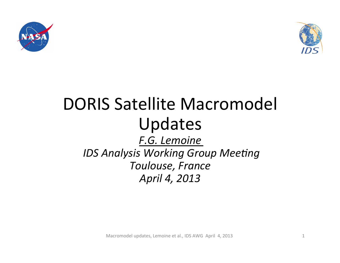



# DORIS Satellite Macromodel Updates *F.G. Lemoine IDS Analysis Working Group Meeting Toulouse, France April 4, 2013*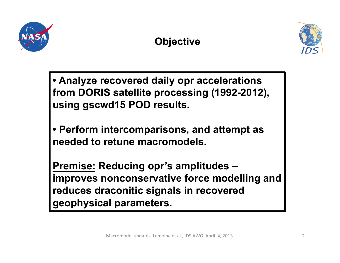

### **Objective**



**• Analyze recovered daily opr accelerations from DORIS satellite processing (1992-2012), using gscwd15 POD results.** 

**• Perform intercomparisons, and attempt as needed to retune macromodels.** 

**Premise: Reducing opr's amplitudes – improves nonconservative force modelling and reduces draconitic signals in recovered geophysical parameters.**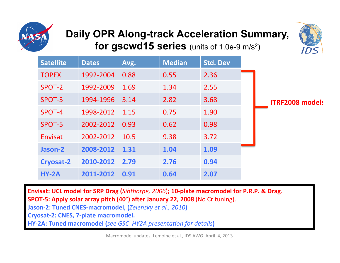

### **Daily OPR Along-track Acceleration Summary, for gscwd15 series** (units of 1.0e-9 m/s<sup>2</sup>)



| <b>Satellite</b> | <b>Dates</b> | Avg. | <b>Median</b> | <b>Std. Dev</b> |                        |
|------------------|--------------|------|---------------|-----------------|------------------------|
| <b>TOPEX</b>     | 1992-2004    | 0.88 | 0.55          | 2.36            |                        |
| SPOT-2           | 1992-2009    | 1.69 | 1.34          | 2.55            |                        |
| SPOT-3           | 1994-1996    | 3.14 | 2.82          | 3.68            | <b>ITRF2008 models</b> |
| SPOT-4           | 1998-2012    | 1.15 | 0.75          | 1.90            |                        |
| SPOT-5           | 2002-2012    | 0.93 | 0.62          | 0.98            |                        |
| Envisat          | 2002-2012    | 10.5 | 9.38          | 3.72            |                        |
| Jason-2          | 2008-2012    | 1.31 | 1.04          | 1.09            |                        |
| Cryosat-2        | 2010-2012    | 2.79 | 2.76          | 0.94            |                        |
| $HY-2A$          | 2011-2012    | 0.91 | 0.64          | 2.07            |                        |

Envisat: UCL model for SRP Drag (*Sibthorpe, 2006*); 10-plate macromodel for P.R.P. & Drag. **SPOT-5: Apply solar array pitch (40°) after January 22, 2008** (No Cr tuning).

**Jason-2: Tuned CNES-macromodel, (***Zelensky et al., 2010*)

**Cryosat-2: CNES, 7-plate macromodel.** 

**HY-2A: Tuned macromodel (***see GSC HY2A presentation for details*)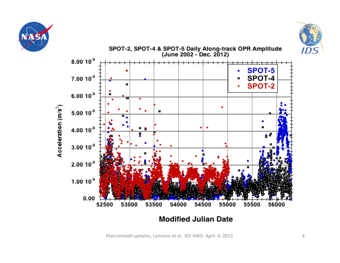





Macromodel updates, Lemoine et al., IDS AWG April 4, 2013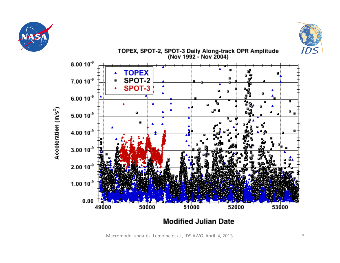





**Modified Julian Date** 

Macromodel updates, Lemoine et al., IDS AWG April 4, 2013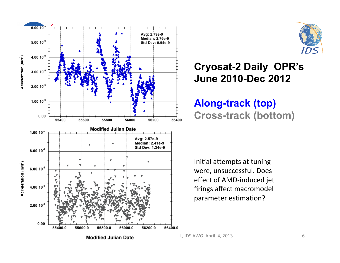



#### **Cryosat-2 Daily OPR's June 2010-Dec 2012**

**Along-track (top) Cross-track (bottom)**

Initial attempts at tuning were, unsuccessful. Does effect of AMD-induced jet firings affect macromodel parameter estimation?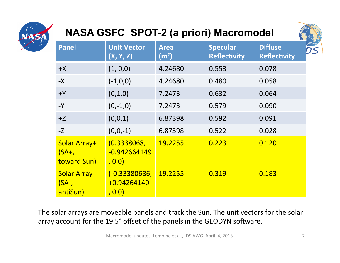

### **NASA GSFC SPOT-2 (a priori) Macromodel**



| <b>Panel</b>                              | <b>Unit Vector</b><br>(X, Y, Z)          | <b>Area</b><br>(m <sup>2</sup> ) | <b>Specular</b><br><b>Reflectivity</b> | <b>Diffuse</b><br><b>Reflectivity</b> |
|-------------------------------------------|------------------------------------------|----------------------------------|----------------------------------------|---------------------------------------|
| $+X$                                      | (1, 0, 0)                                | 4.24680                          | 0.553                                  | 0.078                                 |
| $-X$                                      | $(-1,0,0)$                               | 4.24680                          | 0.480                                  | 0.058                                 |
| $+Y$                                      | (0,1,0)                                  | 7.2473                           | 0.632                                  | 0.064                                 |
| $-Y$                                      | $(0,-1,0)$                               | 7.2473                           | 0.579                                  | 0.090                                 |
| $+Z$                                      | (0,0,1)                                  | 6.87398                          | 0.592                                  | 0.091                                 |
| $-Z$                                      | $(0,0,-1)$                               | 6.87398                          | 0.522                                  | 0.028                                 |
| Solar Array+<br>$(SA+,$<br>toward Sun)    | (0.3338068,<br>$-0.942664149$<br>, 0.0)  | 19.2255                          | 0.223                                  | 0.120                                 |
| <b>Solar Array-</b><br>$(SA-$<br>antiSun) | (-0.33380686,<br>$+0.94264140$<br>, 0.0) | 19.2255                          | 0.319                                  | 0.183                                 |

The solar arrays are moveable panels and track the Sun. The unit vectors for the solar array account for the 19.5° offset of the panels in the GEODYN software.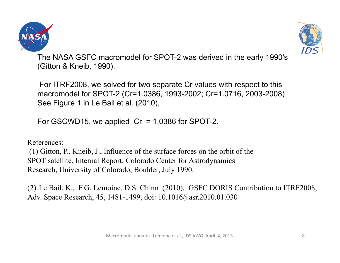



The NASA GSFC macromodel for SPOT-2 was derived in the early 1990's (Gitton & Kneib, 1990).

 For ITRF2008, we solved for two separate Cr values with respect to this macromodel for SPOT-2 (Cr=1.0386, 1993-2002; Cr=1.0716, 2003-2008) See Figure 1 in Le Bail et al. (2010),

For GSCWD15, we applied  $Cr = 1.0386$  for SPOT-2.

References:

 (1) Gitton, P., Kneib, J., Influence of the surface forces on the orbit of the SPOT satellite. Internal Report. Colorado Center for Astrodynamics Research, University of Colorado, Boulder, July 1990.

(2) Le Bail, K., F.G. Lemoine, D.S. Chinn (2010), GSFC DORIS Contribution to ITRF2008, Adv. Space Research, 45, 1481-1499, doi: 10.1016/j.asr.2010.01.030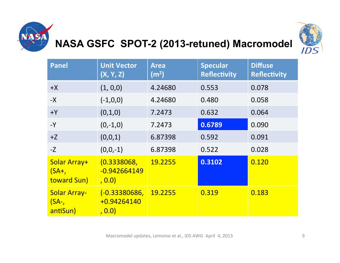

# **NASA GSFC SPOT-2 (2013-retuned) Macromodel**



| <b>Panel</b>                              | <b>Unit Vector</b><br>(X, Y, Z)         | <b>Area</b><br>(m <sup>2</sup> ) | <b>Specular</b><br><b>Reflectivity</b> | <b>Diffuse</b><br><b>Reflectivity</b> |
|-------------------------------------------|-----------------------------------------|----------------------------------|----------------------------------------|---------------------------------------|
| $+X$                                      | (1, 0, 0)                               | 4.24680                          | 0.553                                  | 0.078                                 |
| $-X$                                      | $(-1,0,0)$                              | 4.24680                          | 0.480                                  | 0.058                                 |
| $+Y$                                      | (0,1,0)                                 | 7.2473                           | 0.632                                  | 0.064                                 |
| $-Y$                                      | $(0,-1,0)$                              | 7.2473                           | 0.6789                                 | 0.090                                 |
| $+Z$                                      | (0,0,1)                                 | 6.87398                          | 0.592                                  | 0.091                                 |
| $-Z$                                      | $(0,0,-1)$                              | 6.87398                          | 0.522                                  | 0.028                                 |
| Solar Array+<br>$(SA+,$<br>toward Sun)    | (0.3338068,<br>$-0.942664149$<br>, 0.0) | 19.2255                          | 0.3102                                 | 0.120                                 |
| <b>Solar Array-</b><br>$(SA-$<br>antiSun) | (-0.33380686,<br>+0.94264140<br>, 0.0)  | 19.2255                          | 0.319                                  | 0.183                                 |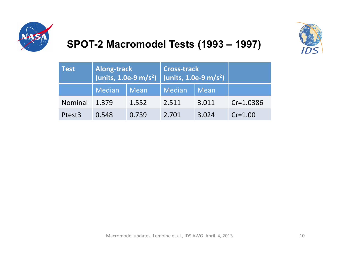



### **SPOT-2 Macromodel Tests (1993 – 1997)**

| <b>Test</b>        | <b>Along-track</b><br>(units, 1.0e-9 m/s <sup>2</sup> ) (units, 1.0e-9 m/s <sup>2</sup> ) |       | <b>Cross-track</b> |       |             |
|--------------------|-------------------------------------------------------------------------------------------|-------|--------------------|-------|-------------|
|                    | Median                                                                                    | Mean  | Median             | Mean  |             |
| <b>Nominal</b>     | 1.379                                                                                     | 1.552 | 2.511              | 3.011 | $Cr=1.0386$ |
| Ptest <sub>3</sub> | 0.548                                                                                     | 0.739 | 2.701              | 3.024 | $Cr = 1.00$ |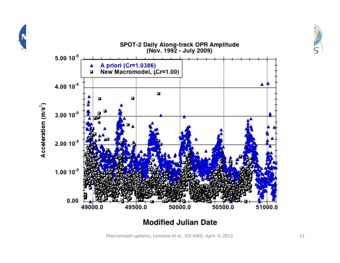

**Modified Julian Date** 

Macromodel updates, Lemoine et al., IDS AWG April 4, 2013

-<br>S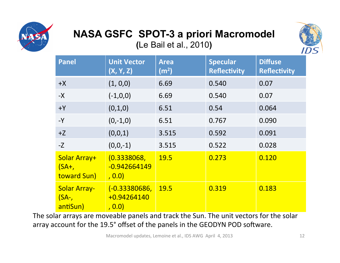

# **NASA GSFC SPOT-3 a priori Macromodel**

**(**Le Bail et al., 2010**)** 



| <b>Panel</b>                                | <b>Unit Vector</b><br>(X, Y, Z)          | <b>Area</b><br>(m <sup>2</sup> ) | <b>Specular</b><br><b>Reflectivity</b> | <b>Diffuse</b><br><b>Reflectivity</b> |
|---------------------------------------------|------------------------------------------|----------------------------------|----------------------------------------|---------------------------------------|
| $+X$                                        | (1, 0, 0)                                | 6.69                             | 0.540                                  | 0.07                                  |
| $-X$                                        | $(-1,0,0)$                               | 6.69                             | 0.540                                  | 0.07                                  |
| $+Y$                                        | (0,1,0)                                  | 6.51                             | 0.54                                   | 0.064                                 |
| $-Y$                                        | $(0,-1,0)$                               | 6.51                             | 0.767                                  | 0.090                                 |
| $+Z$                                        | (0,0,1)                                  | 3.515                            | 0.592                                  | 0.091                                 |
| $-Z$                                        | $(0,0,-1)$                               | 3.515                            | 0.522                                  | 0.028                                 |
| Solar Array+<br>$(SA+,$<br>toward Sun)      | (0.3338068,<br>$-0.942664149$<br>, 0.0)  | <b>19.5</b>                      | 0.273                                  | 0.120                                 |
| <b>Solar Array-</b><br>$(SA-$ ,<br>antiSun) | $(-0.33380686,$<br>+0.94264140<br>, 0.0) | <b>19.5</b>                      | 0.319                                  | 0.183                                 |

The solar arrays are moveable panels and track the Sun. The unit vectors for the solar array account for the 19.5° offset of the panels in the GEODYN POD software.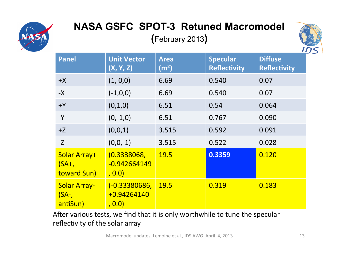

## **NASA GSFC SPOT-3 Retuned Macromodel**

**(**February 2013**)** 



| <b>Panel</b>                              | <b>Unit Vector</b><br>(X, Y, Z)          | <b>Area</b><br>(m <sup>2</sup> ) | <b>Specular</b><br><b>Reflectivity</b> | <b>Diffuse</b><br><b>Reflectivity</b> |
|-------------------------------------------|------------------------------------------|----------------------------------|----------------------------------------|---------------------------------------|
| $+X$                                      | (1, 0, 0)                                | 6.69                             | 0.540                                  | 0.07                                  |
| $-X$                                      | $(-1,0,0)$                               | 6.69                             | 0.540                                  | 0.07                                  |
| $+Y$                                      | (0,1,0)                                  | 6.51                             | 0.54                                   | 0.064                                 |
| $-Y$                                      | $(0,-1,0)$                               | 6.51                             | 0.767                                  | 0.090                                 |
| $+Z$                                      | (0,0,1)                                  | 3.515                            | 0.592                                  | 0.091                                 |
| $-Z$                                      | $(0,0,-1)$                               | 3.515                            | 0.522                                  | 0.028                                 |
| Solar Array+<br>$(SA+,$<br>toward Sun)    | (0.3338068,<br>$-0.942664149$<br>, 0.0)  | 19.5                             | 0.3359                                 | 0.120                                 |
| <b>Solar Array-</b><br>$(SA-$<br>antiSun) | (-0.33380686,<br>$+0.94264140$<br>, 0.0) | <b>19.5</b>                      | 0.319                                  | 0.183                                 |

After various tests, we find that it is only worthwhile to tune the specular reflectivity of the solar array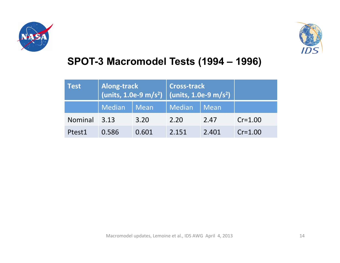



#### **SPOT-3 Macromodel Tests (1994 – 1996)**

| Test           | <b>Along-track</b><br>$\left  \frac{\text{(units, 1.0e-9 m/s}^2)}{\text{(units, 1.0e-9 m/s}^2)} \right $ |       | Cross-track |       |             |
|----------------|----------------------------------------------------------------------------------------------------------|-------|-------------|-------|-------------|
|                | Median                                                                                                   | Mean  | Median      | Mean  |             |
| <b>Nominal</b> | $-3.13$                                                                                                  | 3.20  | 2.20        | 2.47  | $Cr = 1.00$ |
| Ptest1         | 0.586                                                                                                    | 0.601 | 2.151       | 2.401 | $Cr = 1.00$ |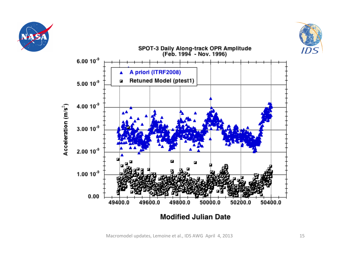





Macromodel updates, Lemoine et al., IDS AWG April 4, 2013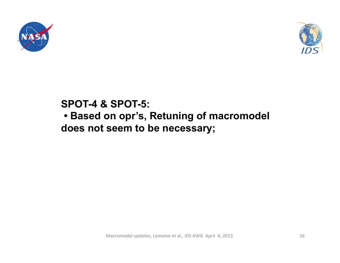



#### **SPOT-4 & SPOT-5:**

 **• Based on opr's, Retuning of macromodel does not seem to be necessary;**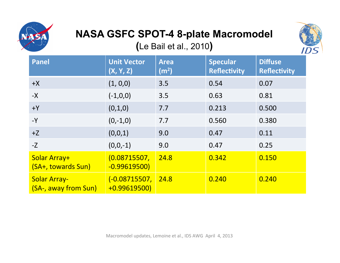

## **NASA GSFC SPOT-4 8-plate Macromodel**

**(**Le Bail et al., 2010**)** 



| <b>Panel</b>                                | <b>Unit Vector</b><br>(X, Y, Z)       | <b>Area</b><br>(m <sup>2</sup> ) | <b>Specular</b><br><b>Reflectivity</b> | <b>Diffuse</b><br><b>Reflectivity</b> |
|---------------------------------------------|---------------------------------------|----------------------------------|----------------------------------------|---------------------------------------|
| $+X$                                        | (1, 0, 0)                             | 3.5                              | 0.54                                   | 0.07                                  |
| $-X$                                        | $(-1,0,0)$                            | 3.5                              | 0.63                                   | 0.81                                  |
| $+Y$                                        | (0,1,0)                               | 7.7                              | 0.213                                  | 0.500                                 |
| $-Y$                                        | $(0,-1,0)$                            | 7.7                              | 0.560                                  | 0.380                                 |
| $+Z$                                        | (0,0,1)                               | 9.0                              | 0.47                                   | 0.11                                  |
| $-Z$                                        | $(0,0,-1)$                            | 9.0                              | 0.47                                   | 0.25                                  |
| Solar Array+<br>(SA+, towards Sun)          | (0.08715507,<br>$-0.99619500$         | 24.8                             | 0.342                                  | 0.150                                 |
| <b>Solar Array-</b><br>(SA-, away from Sun) | <u>(-0.08715507,</u><br>$+0.99619500$ | 24.8                             | 0.240                                  | 0.240                                 |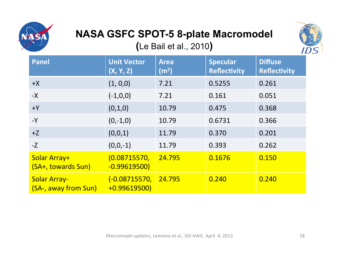

## **NASA GSFC SPOT-5 8-plate Macromodel**

**(**Le Bail et al., 2010**)** 



| <b>Panel</b>                                | <b>Unit Vector</b><br>(X, Y, Z) | <b>Area</b><br>(m <sup>2</sup> ) | <b>Specular</b><br><b>Reflectivity</b> | <b>Diffuse</b><br><b>Reflectivity</b> |
|---------------------------------------------|---------------------------------|----------------------------------|----------------------------------------|---------------------------------------|
| $+X$                                        | (1, 0, 0)                       | 7.21                             | 0.5255                                 | 0.261                                 |
| $-X$                                        | $(-1,0,0)$                      | 7.21                             | 0.161                                  | 0.051                                 |
| $+Y$                                        | (0,1,0)                         | 10.79                            | 0.475                                  | 0.368                                 |
| $-Y$                                        | $(0,-1,0)$                      | 10.79                            | 0.6731                                 | 0.366                                 |
| $+Z$                                        | (0,0,1)                         | 11.79                            | 0.370                                  | 0.201                                 |
| $-Z$                                        | $(0,0,-1)$                      | 11.79                            | 0.393                                  | 0.262                                 |
| Solar Array+<br>(SA+, towards Sun)          | (0.08715570,<br>$-0.99619500$   | 24.795                           | 0.1676                                 | 0.150                                 |
| <b>Solar Array-</b><br>(SA-, away from Sun) | (-0.08715570,<br>$+0.99619500$  | 24.795                           | 0.240                                  | 0.240                                 |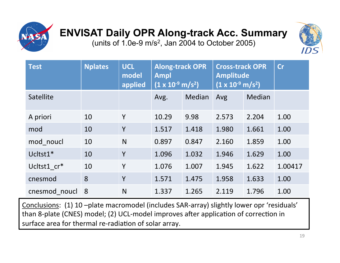

# **ENVISAT Daily OPR Along-track Acc. Summary**

(units of 1.0e-9 m/s2, Jan 2004 to October 2005)



| <b>Test</b>      | <b>Nplates</b> | <b>UCL</b><br>model<br>applied | <b>Along-track OPR</b><br><b>Ampl</b><br>$(1 x 10^{-9} m/s^2)$ |        | <b>Cross-track OPR</b><br><b>Amplitude</b><br>$(1 \times 10^{-9} \text{ m/s}^2)$ |        | cr      |
|------------------|----------------|--------------------------------|----------------------------------------------------------------|--------|----------------------------------------------------------------------------------|--------|---------|
| <b>Satellite</b> |                |                                | Avg.                                                           | Median | Avg                                                                              | Median |         |
| A priori         | 10             | Y                              | 10.29                                                          | 9.98   | 2.573                                                                            | 2.204  | 1.00    |
| mod              | 10             | Y                              | 1.517                                                          | 1.418  | 1.980                                                                            | 1.661  | 1.00    |
| mod noucl        | 10             | N                              | 0.897                                                          | 0.847  | 2.160                                                                            | 1.859  | 1.00    |
| Ucltst1*         | 10             | Y                              | 1.096                                                          | 1.032  | 1.946                                                                            | 1.629  | 1.00    |
| Ucltst1 cr*      | 10             | Y                              | 1.076                                                          | 1.007  | 1.945                                                                            | 1.622  | 1.00417 |
| cnesmod          | 8              | Y                              | 1.571                                                          | 1.475  | 1.958                                                                            | 1.633  | 1.00    |
| cnesmod noucl    | 8              | N                              | 1.337                                                          | 1.265  | 2.119                                                                            | 1.796  | 1.00    |

Conclusions: (1) 10 -plate macromodel (includes SAR-array) slightly lower opr 'residuals' than 8-plate (CNES) model; (2) UCL-model improves after application of correction in surface area for thermal re-radiation of solar array.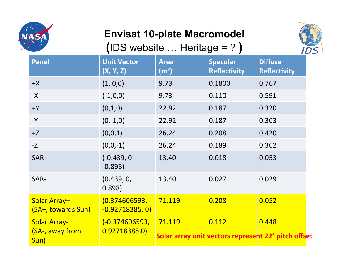

### **Envisat 10-plate Macromodel**

**(**IDS website … Heritage = ? **)** 



| <b>Panel</b>                                   | <b>Unit Vector</b><br>(X, Y, Z)    | <b>Area</b><br>(m <sup>2</sup> ) | <b>Specular</b><br><b>Reflectivity</b> | <b>Diffuse</b><br><b>Reflectivity</b>                        |
|------------------------------------------------|------------------------------------|----------------------------------|----------------------------------------|--------------------------------------------------------------|
| $+X$                                           | (1, 0, 0)                          | 9.73                             | 0.1800                                 | 0.767                                                        |
| $-X$                                           | $(-1,0,0)$                         | 9.73                             | 0.110                                  | 0.591                                                        |
| $+Y$                                           | (0,1,0)                            | 22.92                            | 0.187                                  | 0.320                                                        |
| $-Y$                                           | $(0,-1,0)$                         | 22.92                            | 0.187                                  | 0.303                                                        |
| $+Z$                                           | (0,0,1)                            | 26.24                            | 0.208                                  | 0.420                                                        |
| $-Z$                                           | $(0,0,-1)$                         | 26.24                            | 0.189                                  | 0.362                                                        |
| SAR+                                           | $(-0.439, 0)$<br>$-0.898$          | 13.40                            | 0.018                                  | 0.053                                                        |
| SAR-                                           | (0.439, 0, 0.00)<br>0.898)         | 13.40                            | 0.027                                  | 0.029                                                        |
| Solar Array+<br>(SA+, towards Sun)             | (0.374606593,<br>$-0.92718385, 0)$ | 71.119                           | 0.208                                  | 0.052                                                        |
| <b>Solar Array-</b><br>(SA-, away from<br>Sun) | $(-0.374606593,$<br>0.92718385,0)  | 71.119                           | 0.112                                  | 0.448<br>Solar array unit vectors represent 22° pitch offset |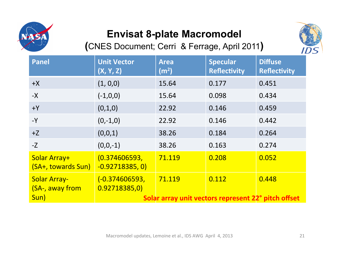

### **Envisat 8-plate Macromodel**

**(**CNES Document; Cerri & Ferrage, April 2011**)** 



| <b>Panel</b>                           | <b>Unit Vector</b><br>(X, Y, Z)   | <b>Area</b><br>(m <sup>2</sup> ) | <b>Specular</b><br><b>Reflectivity</b>              | <b>Diffuse</b><br><b>Reflectivity</b> |
|----------------------------------------|-----------------------------------|----------------------------------|-----------------------------------------------------|---------------------------------------|
| $+X$                                   | (1, 0, 0)                         | 15.64                            | 0.177                                               | 0.451                                 |
| $-X$                                   | $(-1,0,0)$                        | 15.64                            | 0.098                                               | 0.434                                 |
| $+Y$                                   | (0,1,0)                           | 22.92                            | 0.146                                               | 0.459                                 |
| $-Y$                                   | $(0,-1,0)$                        | 22.92                            | 0.146                                               | 0.442                                 |
| $+Z$                                   | (0,0,1)                           | 38.26                            | 0.184                                               | 0.264                                 |
| $-Z$                                   | $(0,0,-1)$                        | 38.26                            | 0.163                                               | 0.274                                 |
| Solar Array+<br>(SA+, towards Sun)     | (0.374606593,<br>$-0.92718385, 0$ | 71.119                           | 0.208                                               | 0.052                                 |
| <b>Solar Array-</b><br>(SA-, away from | (-0.374606593,<br>0.92718385,0)   | 71.119                           | 0.112                                               | 0.448                                 |
| Sun)                                   |                                   |                                  | Solar array unit vectors represent 22° pitch offset |                                       |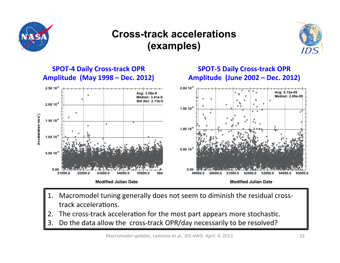

#### **Cross-track accelerations (examples)**





- 1. Macromodel tuning generally does not seem to diminish the residual crosstrack accelerations.
- The cross-track acceleration for the most part appears more stochastic.
- 3. Do the data allow the cross-track OPR/day necessarily to be resolved?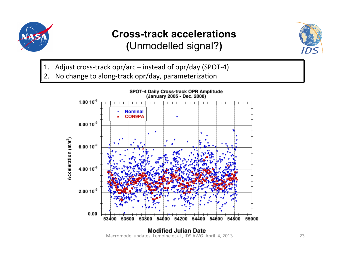

#### **Cross-track accelerations (**Unmodelled signal?**)**



- 1. Adjust cross-track opr/arc instead of opr/day (SPOT-4)
- 2. No change to along-track opr/day, parameterization